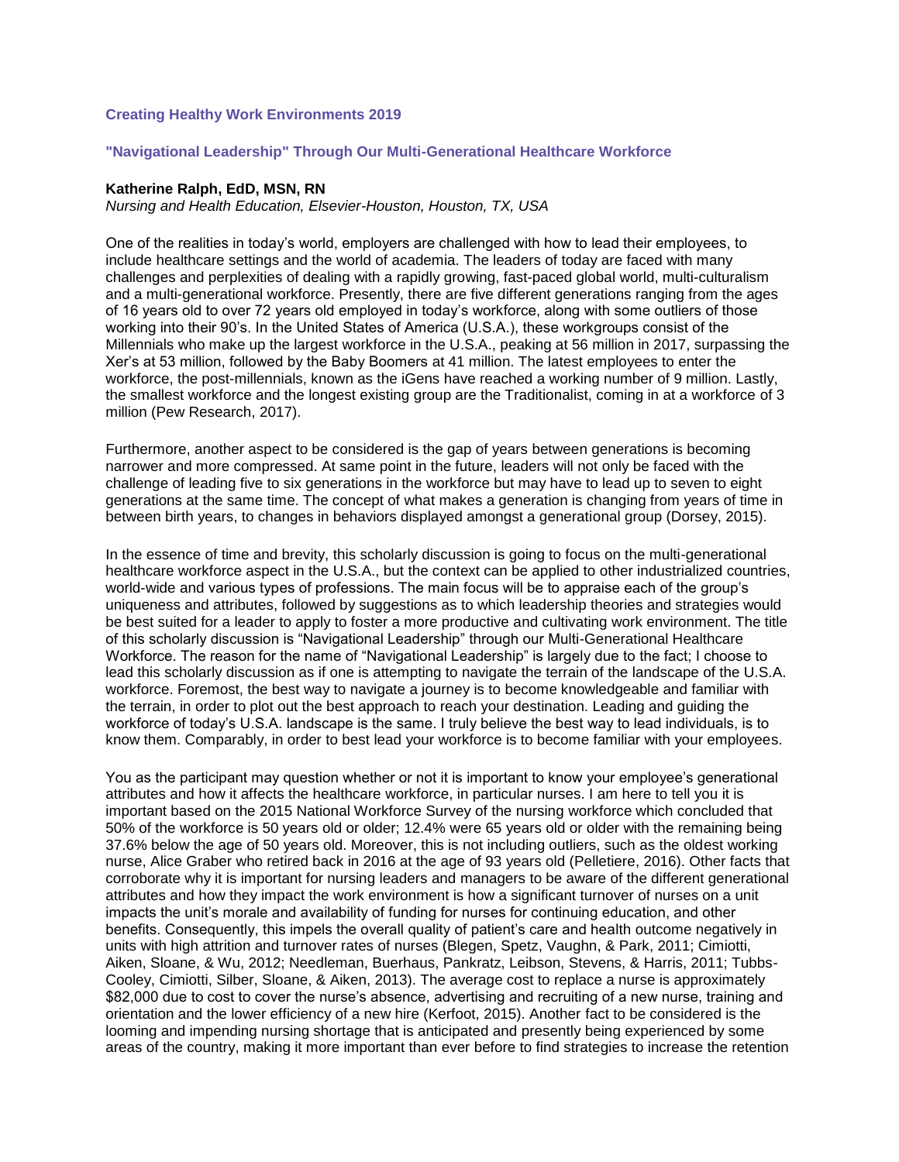## **Creating Healthy Work Environments 2019**

#### **"Navigational Leadership" Through Our Multi-Generational Healthcare Workforce**

#### **Katherine Ralph, EdD, MSN, RN**

*Nursing and Health Education, Elsevier-Houston, Houston, TX, USA*

One of the realities in today's world, employers are challenged with how to lead their employees, to include healthcare settings and the world of academia. The leaders of today are faced with many challenges and perplexities of dealing with a rapidly growing, fast-paced global world, multi-culturalism and a multi-generational workforce. Presently, there are five different generations ranging from the ages of 16 years old to over 72 years old employed in today's workforce, along with some outliers of those working into their 90's. In the United States of America (U.S.A.), these workgroups consist of the Millennials who make up the largest workforce in the U.S.A., peaking at 56 million in 2017, surpassing the Xer's at 53 million, followed by the Baby Boomers at 41 million. The latest employees to enter the workforce, the post-millennials, known as the iGens have reached a working number of 9 million. Lastly, the smallest workforce and the longest existing group are the Traditionalist, coming in at a workforce of 3 million (Pew Research, 2017).

Furthermore, another aspect to be considered is the gap of years between generations is becoming narrower and more compressed. At same point in the future, leaders will not only be faced with the challenge of leading five to six generations in the workforce but may have to lead up to seven to eight generations at the same time. The concept of what makes a generation is changing from years of time in between birth years, to changes in behaviors displayed amongst a generational group (Dorsey, 2015).

In the essence of time and brevity, this scholarly discussion is going to focus on the multi-generational healthcare workforce aspect in the U.S.A., but the context can be applied to other industrialized countries, world-wide and various types of professions. The main focus will be to appraise each of the group's uniqueness and attributes, followed by suggestions as to which leadership theories and strategies would be best suited for a leader to apply to foster a more productive and cultivating work environment. The title of this scholarly discussion is "Navigational Leadership" through our Multi-Generational Healthcare Workforce. The reason for the name of "Navigational Leadership" is largely due to the fact; I choose to lead this scholarly discussion as if one is attempting to navigate the terrain of the landscape of the U.S.A. workforce. Foremost, the best way to navigate a journey is to become knowledgeable and familiar with the terrain, in order to plot out the best approach to reach your destination. Leading and guiding the workforce of today's U.S.A. landscape is the same. I truly believe the best way to lead individuals, is to know them. Comparably, in order to best lead your workforce is to become familiar with your employees.

You as the participant may question whether or not it is important to know your employee's generational attributes and how it affects the healthcare workforce, in particular nurses. I am here to tell you it is important based on the 2015 National Workforce Survey of the nursing workforce which concluded that 50% of the workforce is 50 years old or older; 12.4% were 65 years old or older with the remaining being 37.6% below the age of 50 years old. Moreover, this is not including outliers, such as the oldest working nurse, Alice Graber who retired back in 2016 at the age of 93 years old (Pelletiere, 2016). Other facts that corroborate why it is important for nursing leaders and managers to be aware of the different generational attributes and how they impact the work environment is how a significant turnover of nurses on a unit impacts the unit's morale and availability of funding for nurses for continuing education, and other benefits. Consequently, this impels the overall quality of patient's care and health outcome negatively in units with high attrition and turnover rates of nurses (Blegen, Spetz, Vaughn, & Park, 2011; Cimiotti, Aiken, Sloane, & Wu, 2012; Needleman, Buerhaus, Pankratz, Leibson, Stevens, & Harris, 2011; Tubbs-Cooley, Cimiotti, Silber, Sloane, & Aiken, 2013). The average cost to replace a nurse is approximately \$82,000 due to cost to cover the nurse's absence, advertising and recruiting of a new nurse, training and orientation and the lower efficiency of a new hire (Kerfoot, 2015). Another fact to be considered is the looming and impending nursing shortage that is anticipated and presently being experienced by some areas of the country, making it more important than ever before to find strategies to increase the retention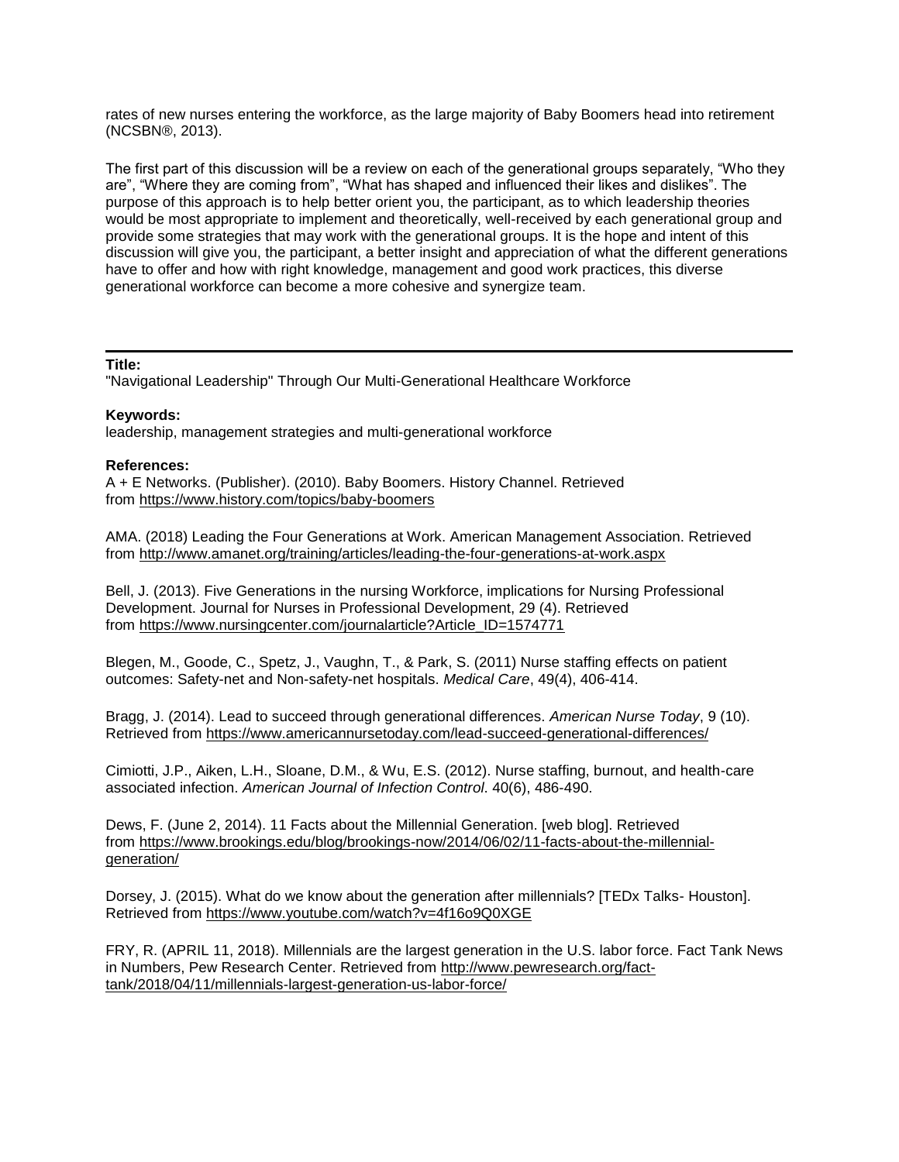rates of new nurses entering the workforce, as the large majority of Baby Boomers head into retirement (NCSBN®, 2013).

The first part of this discussion will be a review on each of the generational groups separately, "Who they are", "Where they are coming from", "What has shaped and influenced their likes and dislikes". The purpose of this approach is to help better orient you, the participant, as to which leadership theories would be most appropriate to implement and theoretically, well-received by each generational group and provide some strategies that may work with the generational groups. It is the hope and intent of this discussion will give you, the participant, a better insight and appreciation of what the different generations have to offer and how with right knowledge, management and good work practices, this diverse generational workforce can become a more cohesive and synergize team.

#### **Title:**

"Navigational Leadership" Through Our Multi-Generational Healthcare Workforce

### **Keywords:**

leadership, management strategies and multi-generational workforce

#### **References:**

A + E Networks. (Publisher). (2010). Baby Boomers. History Channel. Retrieved from <https://www.history.com/topics/baby-boomers>

AMA. (2018) Leading the Four Generations at Work. American Management Association. Retrieved from <http://www.amanet.org/training/articles/leading-the-four-generations-at-work.aspx>

Bell, J. (2013). Five Generations in the nursing Workforce, implications for Nursing Professional Development. Journal for Nurses in Professional Development, 29 (4). Retrieved from [https://www.nursingcenter.com/journalarticle?Article\\_ID=1574771](https://www.nursingcenter.com/journalarticle?Article_ID=1574771)

Blegen, M., Goode, C., Spetz, J., Vaughn, T., & Park, S. (2011) Nurse staffing effects on patient outcomes: Safety-net and Non-safety-net hospitals. *Medical Care*, 49(4), 406-414.

Bragg, J. (2014). Lead to succeed through generational differences. *American Nurse Today*, 9 (10). Retrieved from <https://www.americannursetoday.com/lead-succeed-generational-differences/>

Cimiotti, J.P., Aiken, L.H., Sloane, D.M., & Wu, E.S. (2012). Nurse staffing, burnout, and health-care associated infection. *American Journal of Infection Control*. 40(6), 486-490.

Dews, F. (June 2, 2014). 11 Facts about the Millennial Generation. [web blog]. Retrieved from [https://www.brookings.edu/blog/brookings-now/2014/06/02/11-facts-about-the-millennial](https://www.brookings.edu/blog/brookings-now/2014/06/02/11-facts-about-the-millennial-generation/)[generation/](https://www.brookings.edu/blog/brookings-now/2014/06/02/11-facts-about-the-millennial-generation/) 

Dorsey, J. (2015). What do we know about the generation after millennials? [TEDx Talks- Houston]. Retrieved from <https://www.youtube.com/watch?v=4f16o9Q0XGE>

FRY, R. (APRIL 11, 2018). Millennials are the largest generation in the U.S. labor force. Fact Tank News in Numbers, Pew Research Center. Retrieved from [http://www.pewresearch.org/fact](http://www.pewresearch.org/fact-tank/2018/04/11/millennials-largest-generation-us-labor-force/)[tank/2018/04/11/millennials-largest-generation-us-labor-force/](http://www.pewresearch.org/fact-tank/2018/04/11/millennials-largest-generation-us-labor-force/)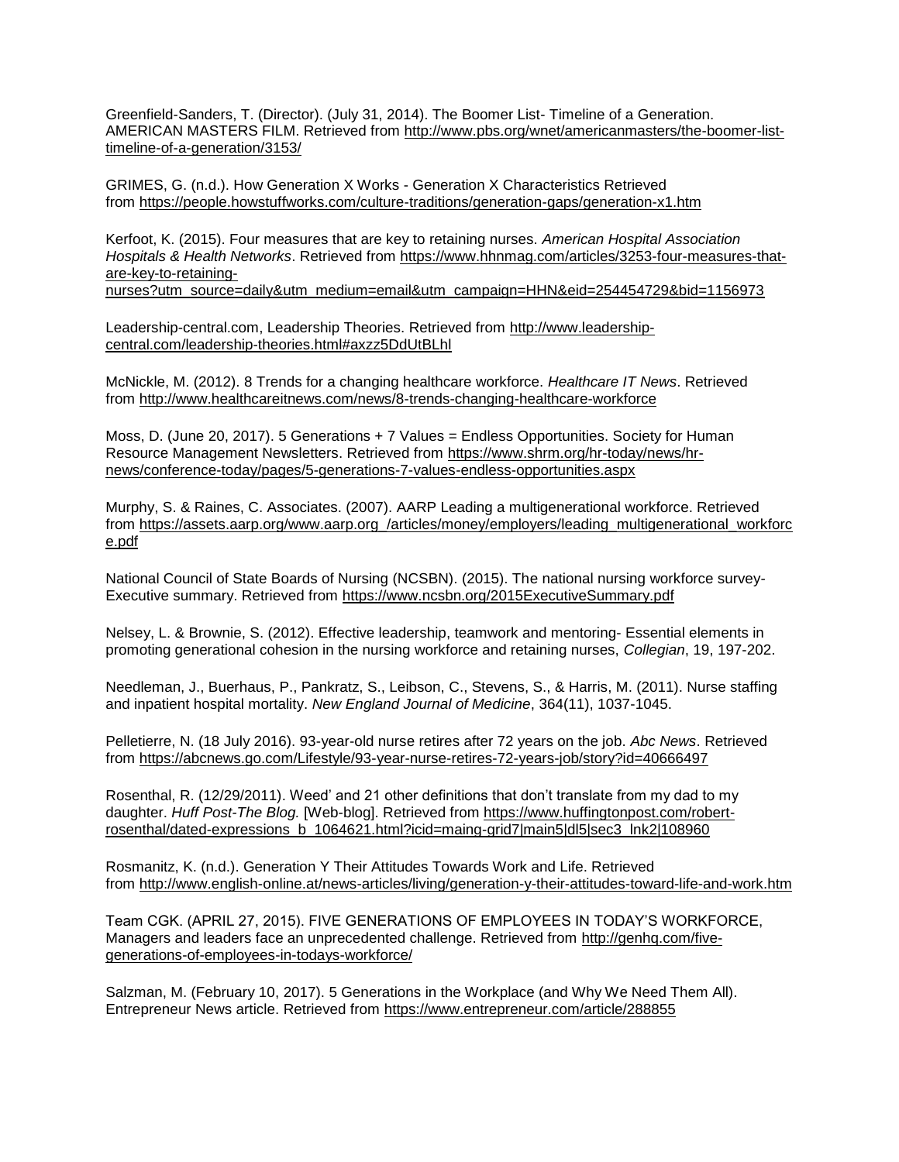Greenfield-Sanders, T. (Director). (July 31, 2014). The Boomer List- Timeline of a Generation. AMERICAN MASTERS FILM. Retrieved from [http://www.pbs.org/wnet/americanmasters/the-boomer-list](http://www.pbs.org/wnet/americanmasters/the-boomer-list-timeline-of-a-generation/3153/)[timeline-of-a-generation/3153/](http://www.pbs.org/wnet/americanmasters/the-boomer-list-timeline-of-a-generation/3153/)

GRIMES, G. (n.d.). How Generation X Works - Generation X Characteristics Retrieved from <https://people.howstuffworks.com/culture-traditions/generation-gaps/generation-x1.htm>

Kerfoot, K. (2015). Four measures that are key to retaining nurses. *American Hospital Association Hospitals & Health Networks*. Retrieved from [https://www.hhnmag.com/articles/3253-four-measures-that](https://www.hhnmag.com/articles/3253-four-measures-that-are-key-to-retaining-nurses?utm_source=daily&utm_medium=email&utm_campaign=HHN&eid=254454729&bid=1156973)[are-key-to-retaining-](https://www.hhnmag.com/articles/3253-four-measures-that-are-key-to-retaining-nurses?utm_source=daily&utm_medium=email&utm_campaign=HHN&eid=254454729&bid=1156973)

[nurses?utm\\_source=daily&utm\\_medium=email&utm\\_campaign=HHN&eid=254454729&bid=1156973](https://www.hhnmag.com/articles/3253-four-measures-that-are-key-to-retaining-nurses?utm_source=daily&utm_medium=email&utm_campaign=HHN&eid=254454729&bid=1156973)

Leadership-central.com, Leadership Theories. Retrieved from [http://www.leadership](http://www.leadership-central.com/leadership-theories.html#axzz5DdUtBLhl)[central.com/leadership-theories.html#axzz5DdUtBLhl](http://www.leadership-central.com/leadership-theories.html#axzz5DdUtBLhl)

McNickle, M. (2012). 8 Trends for a changing healthcare workforce. *Healthcare IT News*. Retrieved from <http://www.healthcareitnews.com/news/8-trends-changing-healthcare-workforce>

Moss, D. (June 20, 2017). 5 Generations + 7 Values = Endless Opportunities. Society for Human Resource Management Newsletters. Retrieved from [https://www.shrm.org/hr-today/news/hr](https://www.shrm.org/hr-today/news/hr-news/conference-today/pages/5-generations-7-values-endless-opportunities.aspx)[news/conference-today/pages/5-generations-7-values-endless-opportunities.aspx](https://www.shrm.org/hr-today/news/hr-news/conference-today/pages/5-generations-7-values-endless-opportunities.aspx) 

Murphy, S. & Raines, C. Associates. (2007). AARP Leading a multigenerational workforce. Retrieved from [https://assets.aarp.org/www.aarp.org\\_/articles/money/employers/leading\\_multigenerational\\_workforc](https://assets.aarp.org/www.aarp.org_/articles/money/employers/leading_multigenerational_workforce.pdf) [e.pdf](https://assets.aarp.org/www.aarp.org_/articles/money/employers/leading_multigenerational_workforce.pdf)

National Council of State Boards of Nursing (NCSBN). (2015). The national nursing workforce survey-Executive summary. Retrieved from <https://www.ncsbn.org/2015ExecutiveSummary.pdf>

Nelsey, L. & Brownie, S. (2012). Effective leadership, teamwork and mentoring- Essential elements in promoting generational cohesion in the nursing workforce and retaining nurses, *Collegian*, 19, 197-202.

Needleman, J., Buerhaus, P., Pankratz, S., Leibson, C., Stevens, S., & Harris, M. (2011). Nurse staffing and inpatient hospital mortality. *New England Journal of Medicine*, 364(11), 1037-1045.

Pelletierre, N. (18 July 2016). 93-year-old nurse retires after 72 years on the job. *Abc News*. Retrieved from <https://abcnews.go.com/Lifestyle/93-year-nurse-retires-72-years-job/story?id=40666497>

Rosenthal, R. (12/29/2011). Weed' and 21 other definitions that don't translate from my dad to my daughter. *Huff Post-The Blog.* [Web-blog]. Retrieved from [https://www.huffingtonpost.com/robert](https://www.huffingtonpost.com/robert-rosenthal/dated-expressions_b_1064621.html?icid=maing-grid7|main5|dl5|sec3_lnk2|108960)[rosenthal/dated-expressions\\_b\\_1064621.html?icid=maing-grid7|main5|dl5|sec3\\_lnk2|108960](https://www.huffingtonpost.com/robert-rosenthal/dated-expressions_b_1064621.html?icid=maing-grid7|main5|dl5|sec3_lnk2|108960)

Rosmanitz, K. (n.d.). Generation Y Their Attitudes Towards Work and Life. Retrieved from <http://www.english-online.at/news-articles/living/generation-y-their-attitudes-toward-life-and-work.htm>

Team CGK. (APRIL 27, 2015). FIVE GENERATIONS OF EMPLOYEES IN TODAY'S WORKFORCE, Managers and leaders face an unprecedented challenge. Retrieved from [http://genhq.com/five](http://genhq.com/five-generations-of-employees-in-todays-workforce/)[generations-of-employees-in-todays-workforce/](http://genhq.com/five-generations-of-employees-in-todays-workforce/)

Salzman, M. (February 10, 2017). 5 Generations in the Workplace (and Why We Need Them All). Entrepreneur News article. Retrieved from <https://www.entrepreneur.com/article/288855>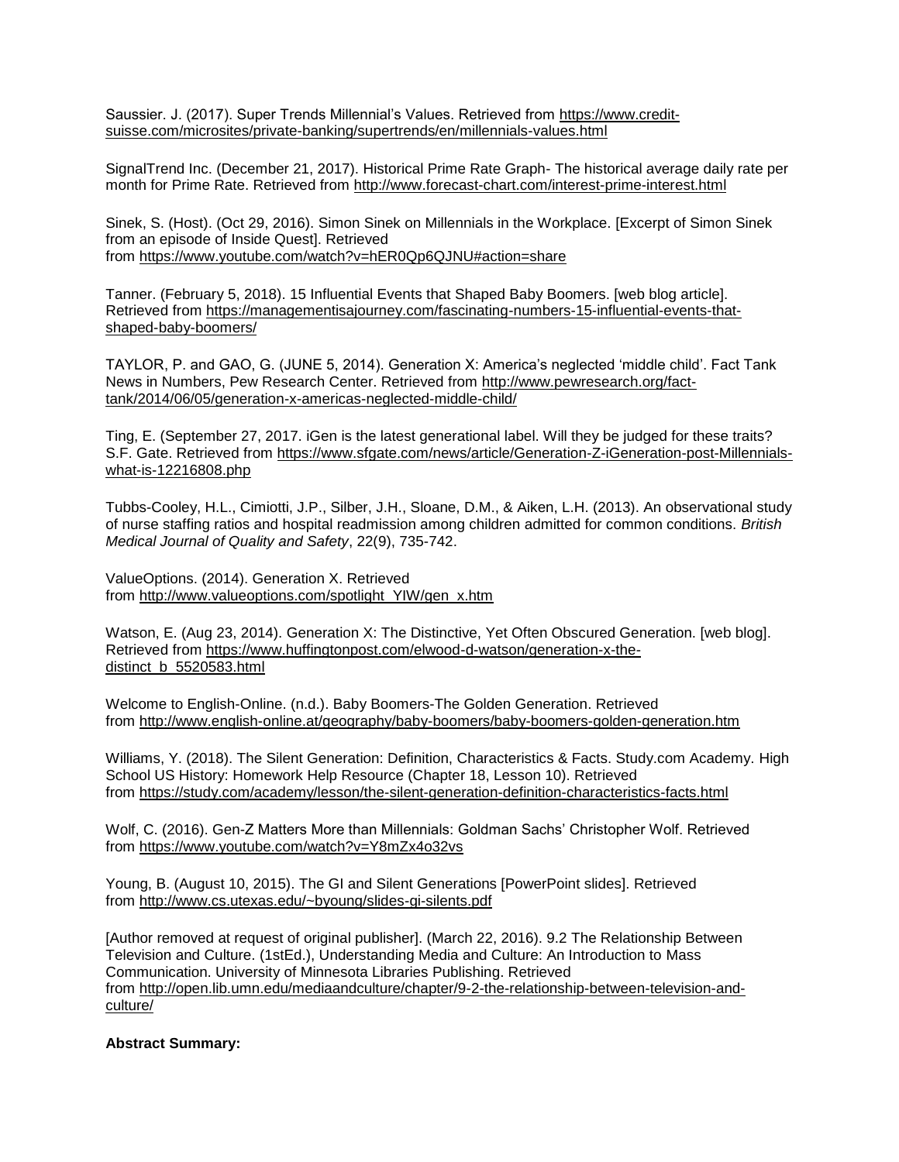Saussier. J. (2017). Super Trends Millennial's Values. Retrieved from [https://www.credit](https://www.credit-suisse.com/microsites/private-banking/supertrends/en/millennials-values.html)[suisse.com/microsites/private-banking/supertrends/en/millennials-values.html](https://www.credit-suisse.com/microsites/private-banking/supertrends/en/millennials-values.html) 

SignalTrend Inc. (December 21, 2017). Historical Prime Rate Graph- The historical average daily rate per month for Prime Rate. Retrieved from <http://www.forecast-chart.com/interest-prime-interest.html>

Sinek, S. (Host). (Oct 29, 2016). Simon Sinek on Millennials in the Workplace. [Excerpt of Simon Sinek from an episode of Inside Quest]. Retrieved from <https://www.youtube.com/watch?v=hER0Qp6QJNU#action=share>

Tanner. (February 5, 2018). 15 Influential Events that Shaped Baby Boomers. [web blog article]. Retrieved from [https://managementisajourney.com/fascinating-numbers-15-influential-events-that](https://managementisajourney.com/fascinating-numbers-15-influential-events-that-shaped-baby-boomers/)[shaped-baby-boomers/](https://managementisajourney.com/fascinating-numbers-15-influential-events-that-shaped-baby-boomers/)

TAYLOR, P. and GAO, G. (JUNE 5, 2014). Generation X: America's neglected 'middle child'. Fact Tank News in Numbers, Pew Research Center. Retrieved from [http://www.pewresearch.org/fact](http://www.pewresearch.org/fact-tank/2014/06/05/generation-x-americas-neglected-middle-child/)[tank/2014/06/05/generation-x-americas-neglected-middle-child/](http://www.pewresearch.org/fact-tank/2014/06/05/generation-x-americas-neglected-middle-child/)

Ting, E. (September 27, 2017. iGen is the latest generational label. Will they be judged for these traits? S.F. Gate. Retrieved from [https://www.sfgate.com/news/article/Generation-Z-iGeneration-post-Millennials](https://www.sfgate.com/news/article/Generation-Z-iGeneration-post-Millennials-what-is-12216808.php)[what-is-12216808.php](https://www.sfgate.com/news/article/Generation-Z-iGeneration-post-Millennials-what-is-12216808.php)

Tubbs-Cooley, H.L., Cimiotti, J.P., Silber, J.H., Sloane, D.M., & Aiken, L.H. (2013). An observational study of nurse staffing ratios and hospital readmission among children admitted for common conditions. *British Medical Journal of Quality and Safety*, 22(9), 735-742.

ValueOptions. (2014). Generation X. Retrieved from [http://www.valueoptions.com/spotlight\\_YIW/gen\\_x.htm](http://www.valueoptions.com/spotlight_YIW/gen_x.htm)

Watson, E. (Aug 23, 2014). Generation X: The Distinctive, Yet Often Obscured Generation. [web blog]. Retrieved from [https://www.huffingtonpost.com/elwood-d-watson/generation-x-the](https://www.huffingtonpost.com/elwood-d-watson/generation-x-the-distinct_b_5520583.html)[distinct\\_b\\_5520583.html](https://www.huffingtonpost.com/elwood-d-watson/generation-x-the-distinct_b_5520583.html)

Welcome to English-Online. (n.d.). Baby Boomers-The Golden Generation. Retrieved from <http://www.english-online.at/geography/baby-boomers/baby-boomers-golden-generation.htm>

Williams, Y. (2018). The Silent Generation: Definition, Characteristics & Facts. Study.com Academy. High School US History: Homework Help Resource (Chapter 18, Lesson 10). Retrieved from <https://study.com/academy/lesson/the-silent-generation-definition-characteristics-facts.html>

Wolf, C. (2016). Gen-Z Matters More than Millennials: Goldman Sachs' Christopher Wolf. Retrieved from <https://www.youtube.com/watch?v=Y8mZx4o32vs>

Young, B. (August 10, 2015). The GI and Silent Generations [PowerPoint slides]. Retrieved from <http://www.cs.utexas.edu/~byoung/slides-gi-silents.pdf>

[Author removed at request of original publisher]. (March 22, 2016). 9.2 The Relationship Between Television and Culture. (1stEd.), Understanding Media and Culture: An Introduction to Mass Communication. University of Minnesota Libraries Publishing. Retrieved from [http://open.lib.umn.edu/mediaandculture/chapter/9-2-the-relationship-between-television-and](http://open.lib.umn.edu/mediaandculture/chapter/9-2-the-relationship-between-television-and-culture/)[culture/](http://open.lib.umn.edu/mediaandculture/chapter/9-2-the-relationship-between-television-and-culture/)

**Abstract Summary:**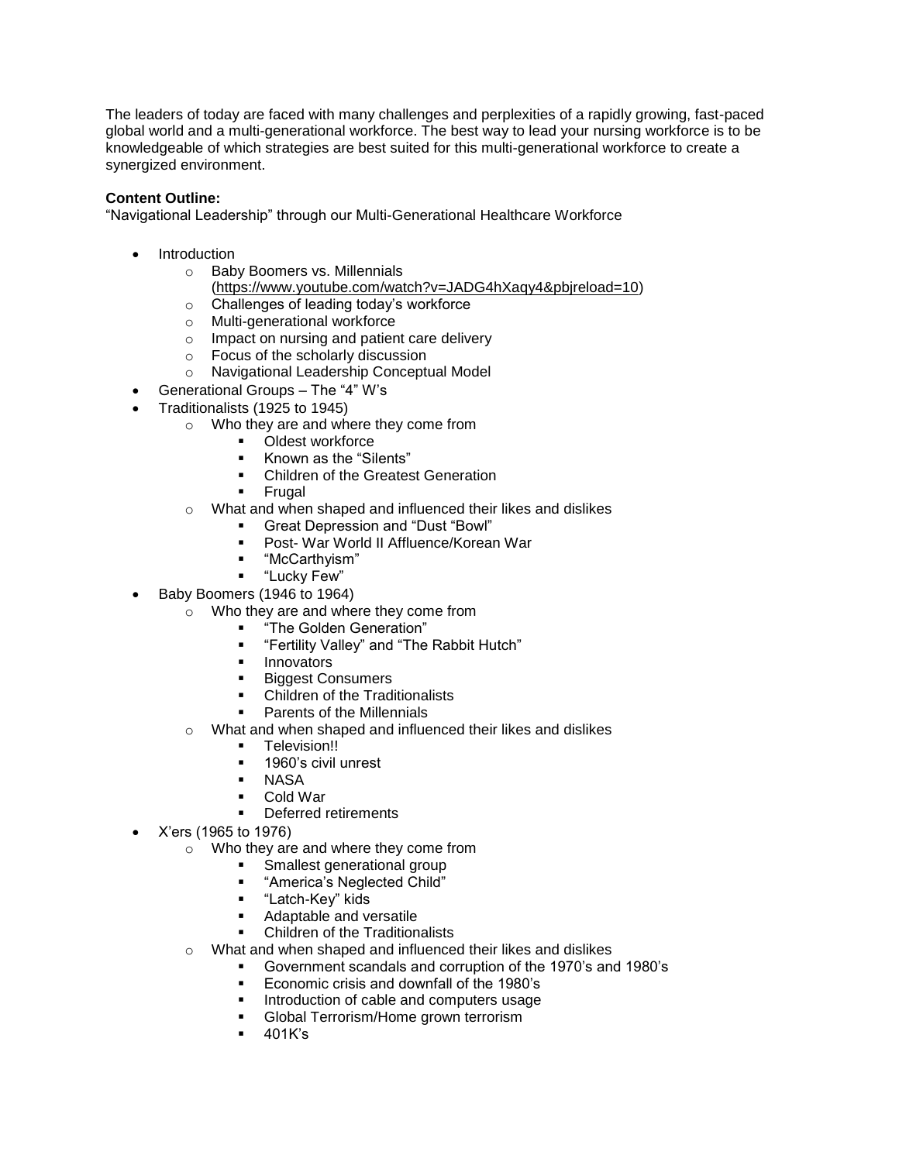The leaders of today are faced with many challenges and perplexities of a rapidly growing, fast-paced global world and a multi-generational workforce. The best way to lead your nursing workforce is to be knowledgeable of which strategies are best suited for this multi-generational workforce to create a synergized environment.

# **Content Outline:**

"Navigational Leadership" through our Multi-Generational Healthcare Workforce

- **Introduction** 
	- o Baby Boomers vs. Millennials
	- [\(https://www.youtube.com/watch?v=JADG4hXaqy4&pbjreload=10\)](https://www.youtube.com/watch?v=JADG4hXaqy4&pbjreload=10)
	- o Challenges of leading today's workforce
	- o Multi-generational workforce
	- o Impact on nursing and patient care delivery
	- o Focus of the scholarly discussion
	- o Navigational Leadership Conceptual Model
- Generational Groups The "4" W's
- Traditionalists (1925 to 1945)
	- o Who they are and where they come from
		- Oldest workforce
		- Known as the "Silents"
		- **Children of the Greatest Generation**
		- **Frugal**
	- o What and when shaped and influenced their likes and dislikes
		- Great Depression and "Dust "Bowl"
		- Post- War World II Affluence/Korean War
		- "McCarthyism"
		- "Lucky Few"
	- Baby Boomers (1946 to 1964)
		- o Who they are and where they come from
			- "The Golden Generation"
			- "Fertility Valley" and "The Rabbit Hutch"
			- **■** Innovators
			- **Biggest Consumers**
			- Children of the Traditionalists
			- Parents of the Millennials
		- o What and when shaped and influenced their likes and dislikes
			- **•** Television!!
			- 1960's civil unrest
			- **NASA**
			- Cold War
			- Deferred retirements
- X'ers (1965 to 1976)
	- o Who they are and where they come from
		- Smallest generational group
		- "America's Neglected Child"
		- "Latch-Key" kids
		- Adaptable and versatile
		- Children of the Traditionalists
	- o What and when shaped and influenced their likes and dislikes
		- Government scandals and corruption of the 1970's and 1980's
		- Economic crisis and downfall of the 1980's
		- Introduction of cable and computers usage
		- Global Terrorism/Home grown terrorism
		- 401K's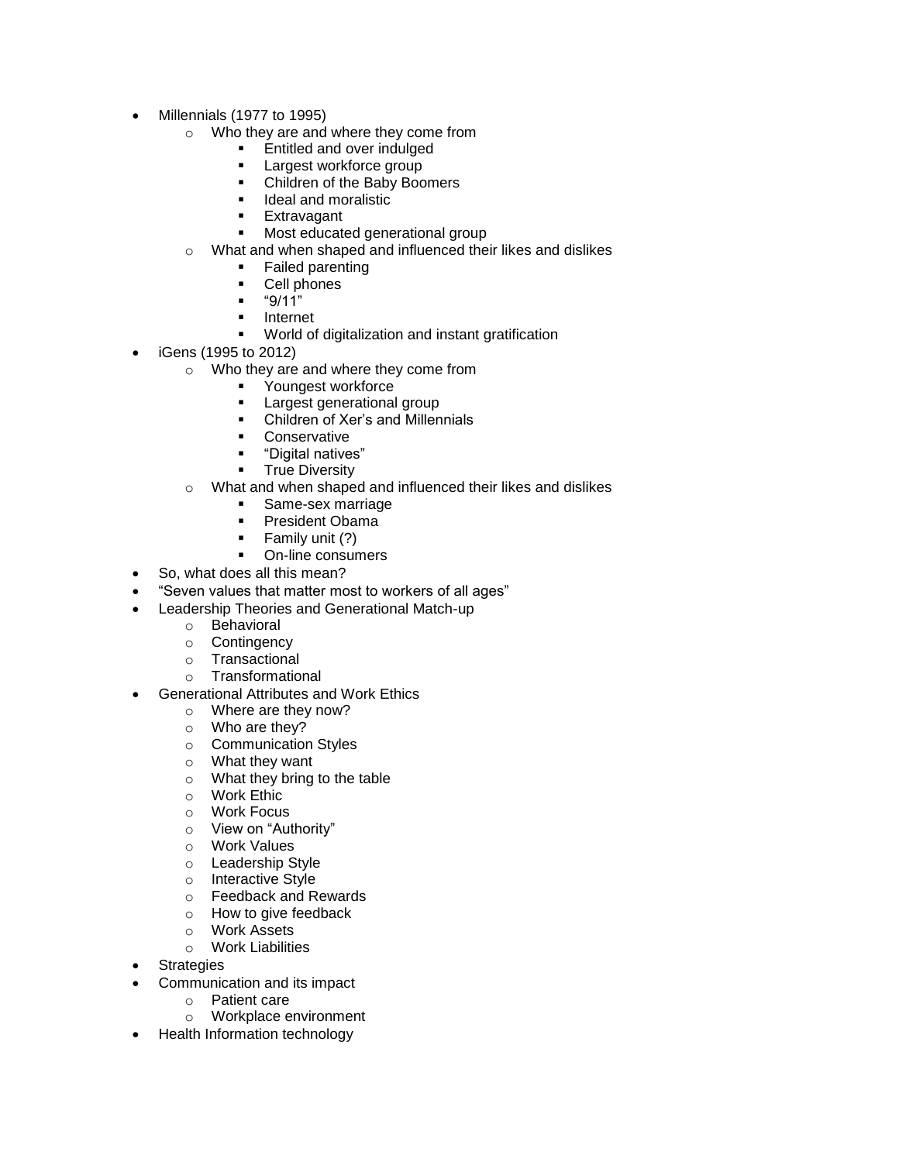- Millennials (1977 to 1995)
	- o Who they are and where they come from
		- Entitled and over indulged
		- Largest workforce group
		- Children of the Baby Boomers
		- Ideal and moralistic
		- Extravagant
		- Most educated generational group
	- o What and when shaped and influenced their likes and dislikes
		- **Failed parenting**
		- Cell phones
		- $-$  "9/11"
		- Internet
		- World of digitalization and instant gratification
- iGens (1995 to 2012)
	- o Who they are and where they come from
		- Youngest workforce
		- Largest generational group
		- Children of Xer's and Millennials
		- Conservative
		- "Digital natives"
		- **■** True Diversity
	- o What and when shaped and influenced their likes and dislikes
		- Same-sex marriage
		- President Obama
		- Family unit (?)
		- On-line consumers
- So, what does all this mean?
- "Seven values that matter most to workers of all ages"
- Leadership Theories and Generational Match-up
	- o Behavioral
	- o Contingency
	- o Transactional
	- o Transformational
- Generational Attributes and Work Ethics
	- o Where are they now?
	- o Who are they?
	- o Communication Styles
	- o What they want
	- o What they bring to the table
	- o Work Ethic
	- o Work Focus
	- o View on "Authority"
	- o Work Values
	- o Leadership Style
	- o Interactive Style
	- o Feedback and Rewards
	- o How to give feedback
	- o Work Assets
	- o Work Liabilities
- **Strategies**
- Communication and its impact
	- o Patient care
		- o Workplace environment
- Health Information technology